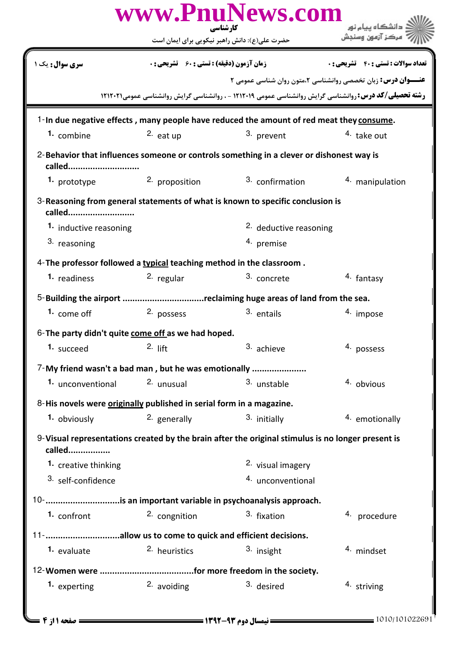| www.PnuNews.com<br>کار شناسی                                                                                |                                                    |                                                                    |                                                                                                                 |  |  |  |
|-------------------------------------------------------------------------------------------------------------|----------------------------------------------------|--------------------------------------------------------------------|-----------------------------------------------------------------------------------------------------------------|--|--|--|
|                                                                                                             |                                                    | حضرت علی(ع): دانش راهبر نیکویی برای ایمان است                      |                                                                                                                 |  |  |  |
| <b>سری سوال :</b> یک ۱                                                                                      | <b>زمان آزمون (دقیقه) : تستی : 60 ٪ تشریحی : 0</b> |                                                                    | <b>تعداد سوالات : تستی : 40 - تشریحی : 0</b>                                                                    |  |  |  |
|                                                                                                             |                                                    |                                                                    | <b>عنـــوان درس:</b> زبان تخصصی روانشناسی ۲،متون روان شناسی عمومی ۲                                             |  |  |  |
|                                                                                                             |                                                    |                                                                    | <b>رشته تحصیلی/کد درس: ر</b> وانشناسی گرایش روانشناسی عمومی ۱۲۱۲۰۱۹ - ، روانشناسی گرایش روانشناسی عمومی۲۱۲۰۲۱ ۱ |  |  |  |
| 1-In due negative effects, many people have reduced the amount of red meat they consume.                    |                                                    |                                                                    |                                                                                                                 |  |  |  |
| 1. combine                                                                                                  | $2.$ eat up                                        | 3. prevent                                                         | 4. take out                                                                                                     |  |  |  |
| 2-Behavior that influences someone or controls something in a clever or dishonest way is<br>called          |                                                    |                                                                    |                                                                                                                 |  |  |  |
| 1. prototype                                                                                                | 2. proposition                                     | 3. confirmation                                                    | 4. manipulation                                                                                                 |  |  |  |
| 3- Reasoning from general statements of what is known to specific conclusion is<br>called                   |                                                    |                                                                    |                                                                                                                 |  |  |  |
| 1. inductive reasoning                                                                                      |                                                    | <sup>2.</sup> deductive reasoning                                  |                                                                                                                 |  |  |  |
| 3. reasoning                                                                                                |                                                    | <sup>4.</sup> premise                                              |                                                                                                                 |  |  |  |
| 4- The professor followed a typical teaching method in the classroom.                                       |                                                    |                                                                    |                                                                                                                 |  |  |  |
| <sup>1</sup> readiness                                                                                      | 2. regular                                         | 3. concrete                                                        | <sup>4.</sup> fantasy                                                                                           |  |  |  |
|                                                                                                             |                                                    | 5-Building the airport reclaiming huge areas of land from the sea. |                                                                                                                 |  |  |  |
| 1. come off                                                                                                 | 2. possess                                         | 3. entails                                                         | 4. impose                                                                                                       |  |  |  |
| 6-The party didn't quite come off as we had hoped.                                                          |                                                    |                                                                    |                                                                                                                 |  |  |  |
| <b>1.</b> succeed                                                                                           | $2.$ lift                                          | 3. achieve                                                         | 4. possess                                                                                                      |  |  |  |
| 7-My friend wasn't a bad man, but he was emotionally                                                        |                                                    |                                                                    |                                                                                                                 |  |  |  |
| 1. unconventional                                                                                           | 2. unusual                                         | 3. unstable                                                        | 4. obvious                                                                                                      |  |  |  |
| 8-His novels were originally published in serial form in a magazine.                                        |                                                    |                                                                    |                                                                                                                 |  |  |  |
| 1. obviously                                                                                                | 2. generally                                       | 3. initially                                                       | 4. emotionally                                                                                                  |  |  |  |
| 9-Visual representations created by the brain after the original stimulus is no longer present is<br>called |                                                    |                                                                    |                                                                                                                 |  |  |  |
| 1. creative thinking                                                                                        |                                                    | 2. visual imagery                                                  |                                                                                                                 |  |  |  |
| 3. self-confidence                                                                                          |                                                    | 4. unconventional                                                  |                                                                                                                 |  |  |  |
| 10- is an important variable in psychoanalysis approach.                                                    |                                                    |                                                                    |                                                                                                                 |  |  |  |
| 1. confront                                                                                                 | 2. congnition                                      | 3. fixation                                                        | 4. procedure                                                                                                    |  |  |  |
| 11- allow us to come to quick and efficient decisions.                                                      |                                                    |                                                                    |                                                                                                                 |  |  |  |
| 1. evaluate                                                                                                 | 2. heuristics                                      | 3. insight                                                         | 4. mindset                                                                                                      |  |  |  |
|                                                                                                             |                                                    |                                                                    |                                                                                                                 |  |  |  |
| 1. experting                                                                                                | 2. avoiding                                        | 3. desired                                                         | 4. striving                                                                                                     |  |  |  |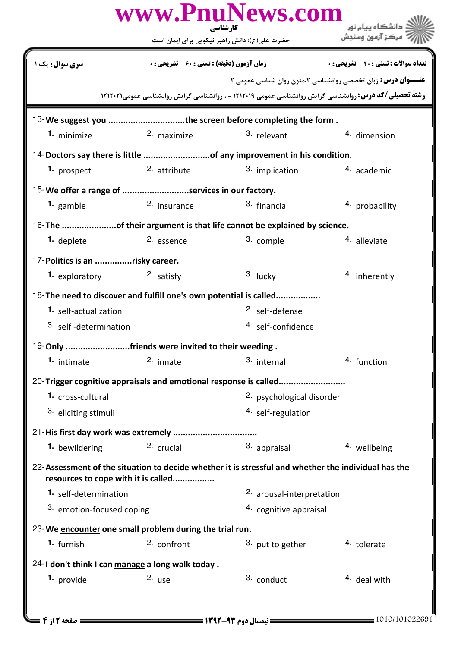|                                 |                                                         | کارشناسی<br>حضرت علی(ع): دانش راهبر نیکویی برای ایمان است                                                      | ، دانشگاه ييام نور<br>مركز آزمون وسنجش                             |
|---------------------------------|---------------------------------------------------------|----------------------------------------------------------------------------------------------------------------|--------------------------------------------------------------------|
| سری سوال: یک                    | <b>زمان آزمون (دقیقه) : تستی : 60 ٪ تشریحی : 0</b>      |                                                                                                                | <b>تعداد سوالات : تستي : 40 - تشريحي : 0</b>                       |
|                                 |                                                         | <b>رشته تحصیلی/کد درس: ر</b> وانشناسی گرایش روانشناسی عمومی ۱۲۱۲۰۱۹ - ، روانشناسی گرایش روانشناسی عمومی۲۱۱۲۰۲۱ | <b>عنــوان درس:</b> زبان تخصصی روانشناسی ۲،متون روان شناسی عمومی ۲ |
|                                 |                                                         |                                                                                                                |                                                                    |
| 1. minimize                     | 2. maximize                                             | 13-We suggest you the screen before completing the form.<br>3. relevant                                        | 4. dimension                                                       |
|                                 |                                                         |                                                                                                                |                                                                    |
| 1. prospect                     | 2. attribute                                            | 14-Doctors say there is little of any improvement in his condition.<br>3. implication                          | 4. academic                                                        |
|                                 | 15-We offer a range of services in our factory.         |                                                                                                                |                                                                    |
| 1. gamble                       | 2. insurance                                            | 3. financial                                                                                                   | 4. probability                                                     |
|                                 |                                                         | 16-The of their argument is that life cannot be explained by science.                                          |                                                                    |
| 1. deplete                      | 2. essence                                              | 3. comple                                                                                                      | 4. alleviate                                                       |
| 17-Politics is an risky career. |                                                         |                                                                                                                |                                                                    |
| 1. exploratory                  | 2. satisfy                                              | 3. lucky                                                                                                       | 4. inherently                                                      |
|                                 |                                                         | 18-The need to discover and fulfill one's own potential is called                                              |                                                                    |
| 1. self-actualization           |                                                         | <sup>2.</sup> self-defense                                                                                     |                                                                    |
| 3. self-determination           |                                                         | 4. self-confidence                                                                                             |                                                                    |
|                                 | 19-Only friends were invited to their weeding.          |                                                                                                                |                                                                    |
| 1. intimate                     | 2. innate                                               | 3. internal                                                                                                    | 4. function                                                        |
|                                 |                                                         | 20-Trigger cognitive appraisals and emotional response is called                                               |                                                                    |
| 1. cross-cultural               |                                                         | 2. psychological disorder                                                                                      |                                                                    |
| 3. eliciting stimuli            |                                                         | 4. self-regulation                                                                                             |                                                                    |
|                                 |                                                         |                                                                                                                |                                                                    |
| 1. bewildering                  | 2. crucial                                              | 3. appraisal                                                                                                   | 4. wellbeing                                                       |
|                                 | resources to cope with it is called                     | 22-Assessment of the situation to decide whether it is stressful and whether the individual has the            |                                                                    |
| 1. self-determination           |                                                         | 2. arousal-interpretation                                                                                      |                                                                    |
| 3. emotion-focused coping       |                                                         | 4. cognitive appraisal                                                                                         |                                                                    |
|                                 | 23-We encounter one small problem during the trial run. |                                                                                                                |                                                                    |
| 1. furnish                      | 2. confront                                             | 3. put to gether                                                                                               | 4. tolerate                                                        |
|                                 | 24-I don't think I can manage a long walk today.        |                                                                                                                |                                                                    |
| 1. provide                      | $2.$ use                                                | 3. conduct                                                                                                     | <sup>4</sup> deal with                                             |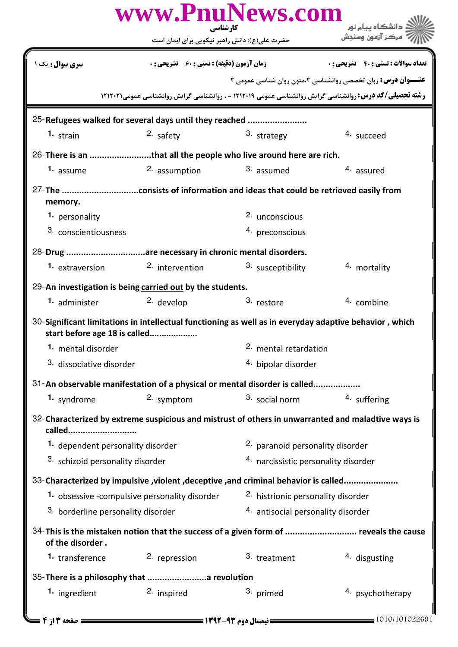|                                                                                                                                         | کار شناسی                                         | www.PnuNews.com                      | دانشگاه پیام نور                                                                                               |  |  |  |
|-----------------------------------------------------------------------------------------------------------------------------------------|---------------------------------------------------|--------------------------------------|----------------------------------------------------------------------------------------------------------------|--|--|--|
|                                                                                                                                         | حضرت علی(ع): دانش راهبر نیکویی برای ایمان است     |                                      | مركز آزمون وسندش                                                                                               |  |  |  |
| <b>سری سوال :</b> یک                                                                                                                    | <b>زمان آزمون (دقیقه) : تستی : 60 ٪ تشریحی: 0</b> |                                      | <b>تعداد سوالات : تستي : 40 ٪ تشريحي : 0</b>                                                                   |  |  |  |
|                                                                                                                                         |                                                   |                                      | <b>عنـــوان درس:</b> زبان تخصصی روانشناسی ۲،متون روان شناسی عمومی ۲                                            |  |  |  |
|                                                                                                                                         |                                                   |                                      | <b>رشته تحصیلی/کد درس: ر</b> وانشناسی گرایش روانشناسی عمومی ۱۲۱۲۰۱۹ - ، روانشناسی گرایش روانشناسی عمومی۲۱۱۲۰۲۱ |  |  |  |
| 25-Refugees walked for several days until they reached                                                                                  |                                                   |                                      |                                                                                                                |  |  |  |
| $1.$ strain                                                                                                                             | 2. safety                                         | 3. strategy                          | 4. succeed                                                                                                     |  |  |  |
| 26-There is an that all the people who live around here are rich.                                                                       |                                                   |                                      |                                                                                                                |  |  |  |
| 1. assume                                                                                                                               | 2. assumption                                     | 3. assumed                           | 4. assured                                                                                                     |  |  |  |
| memory.                                                                                                                                 |                                                   |                                      |                                                                                                                |  |  |  |
| 1. personality                                                                                                                          |                                                   | 2. unconscious                       |                                                                                                                |  |  |  |
| 3. conscientiousness                                                                                                                    |                                                   | 4. preconscious                      |                                                                                                                |  |  |  |
| 28-Drug are necessary in chronic mental disorders.                                                                                      |                                                   |                                      |                                                                                                                |  |  |  |
| 1. extraversion                                                                                                                         | 2. intervention                                   | 3. susceptibility                    | 4. mortality                                                                                                   |  |  |  |
| 29-An investigation is being carried out by the students.                                                                               |                                                   |                                      |                                                                                                                |  |  |  |
| 1. administer                                                                                                                           | 2. develop                                        | 3. restore                           | 4. combine                                                                                                     |  |  |  |
| 30-Significant limitations in intellectual functioning as well as in everyday adaptive behavior, which<br>start before age 18 is called |                                                   |                                      |                                                                                                                |  |  |  |
| 1. mental disorder                                                                                                                      |                                                   | 2. mental retardation                |                                                                                                                |  |  |  |
| 3. dissociative disorder                                                                                                                |                                                   | 4. bipolar disorder                  |                                                                                                                |  |  |  |
| 31-An observable manifestation of a physical or mental disorder is called                                                               |                                                   |                                      |                                                                                                                |  |  |  |
| 1. syndrome                                                                                                                             | 2. symptom                                        | 3. social norm                       | 4. suffering                                                                                                   |  |  |  |
| called                                                                                                                                  |                                                   |                                      | 32-Characterized by extreme suspicious and mistrust of others in unwarranted and maladtive ways is             |  |  |  |
| 1. dependent personality disorder                                                                                                       |                                                   | 2. paranoid personality disorder     |                                                                                                                |  |  |  |
| 3. schizoid personality disorder                                                                                                        |                                                   | 4. narcissistic personality disorder |                                                                                                                |  |  |  |
| 33-Characterized by impulsive , violent , deceptive , and criminal behavior is called                                                   |                                                   |                                      |                                                                                                                |  |  |  |
|                                                                                                                                         | 1. obsessive -compulsive personality disorder     | 2. histrionic personality disorder   |                                                                                                                |  |  |  |
| 3. borderline personality disorder                                                                                                      |                                                   | 4. antisocial personality disorder   |                                                                                                                |  |  |  |
| of the disorder.                                                                                                                        |                                                   |                                      | 34-This is the mistaken notion that the success of a given form of  reveals the cause                          |  |  |  |
| 1. transference                                                                                                                         | 2. repression                                     | 3. treatment                         | 4. disgusting                                                                                                  |  |  |  |
| 35-There is a philosophy that  revolution                                                                                               |                                                   |                                      |                                                                                                                |  |  |  |
| 1. ingredient                                                                                                                           | 2. inspired                                       | 3. primed                            | 4. psychotherapy                                                                                               |  |  |  |
| = صفحه 13 ; 4                                                                                                                           |                                                   |                                      | 1010/101022691                                                                                                 |  |  |  |